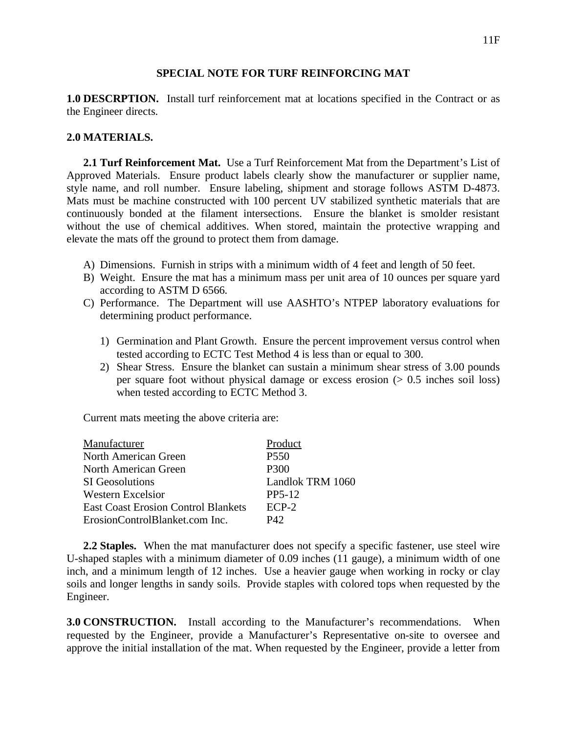## **SPECIAL NOTE FOR TURF REINFORCING MAT**

**1.0 DESCRPTION.** Install turf reinforcement mat at locations specified in the Contract or as the Engineer directs.

## **2.0 MATERIALS.**

**2.1 Turf Reinforcement Mat.** Use a Turf Reinforcement Mat from the Department's List of Approved Materials. Ensure product labels clearly show the manufacturer or supplier name, style name, and roll number. Ensure labeling, shipment and storage follows ASTM D-4873. Mats must be machine constructed with 100 percent UV stabilized synthetic materials that are continuously bonded at the filament intersections. Ensure the blanket is smolder resistant without the use of chemical additives. When stored, maintain the protective wrapping and elevate the mats off the ground to protect them from damage.

- A) Dimensions. Furnish in strips with a minimum width of 4 feet and length of 50 feet.
- B) Weight. Ensure the mat has a minimum mass per unit area of 10 ounces per square yard according to ASTM D 6566.
- C) Performance. The Department will use AASHTO's NTPEP laboratory evaluations for determining product performance.
	- 1) Germination and Plant Growth. Ensure the percent improvement versus control when tested according to ECTC Test Method 4 is less than or equal to 300.
	- 2) Shear Stress. Ensure the blanket can sustain a minimum shear stress of 3.00 pounds per square foot without physical damage or excess erosion  $(> 0.5$  inches soil loss) when tested according to ECTC Method 3.

Current mats meeting the above criteria are:

| Manufacturer                               | Product             |
|--------------------------------------------|---------------------|
| <b>North American Green</b>                | <b>P550</b>         |
| North American Green                       | P300                |
| <b>SI</b> Geosolutions                     | Landlok TRM 1060    |
| Western Excelsior                          | PP <sub>5</sub> -12 |
| <b>East Coast Erosion Control Blankets</b> | $FCP-2$             |
| ErosionControlBlanket.com Inc.             | P42                 |

**2.2 Staples.** When the mat manufacturer does not specify a specific fastener, use steel wire U-shaped staples with a minimum diameter of 0.09 inches (11 gauge), a minimum width of one inch, and a minimum length of 12 inches. Use a heavier gauge when working in rocky or clay soils and longer lengths in sandy soils. Provide staples with colored tops when requested by the Engineer.

**3.0 CONSTRUCTION.** Install according to the Manufacturer's recommendations. When requested by the Engineer, provide a Manufacturer's Representative on-site to oversee and approve the initial installation of the mat. When requested by the Engineer, provide a letter from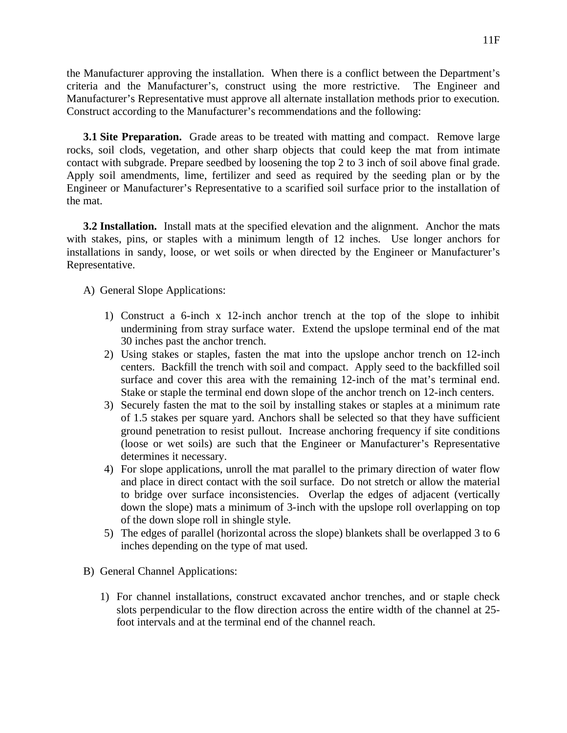the Manufacturer approving the installation. When there is a conflict between the Department's criteria and the Manufacturer's, construct using the more restrictive. The Engineer and Manufacturer's Representative must approve all alternate installation methods prior to execution. Construct according to the Manufacturer's recommendations and the following:

**3.1 Site Preparation.** Grade areas to be treated with matting and compact. Remove large rocks, soil clods, vegetation, and other sharp objects that could keep the mat from intimate contact with subgrade. Prepare seedbed by loosening the top 2 to 3 inch of soil above final grade. Apply soil amendments, lime, fertilizer and seed as required by the seeding plan or by the Engineer or Manufacturer's Representative to a scarified soil surface prior to the installation of the mat.

**3.2 Installation.** Install mats at the specified elevation and the alignment. Anchor the mats with stakes, pins, or staples with a minimum length of 12 inches. Use longer anchors for installations in sandy, loose, or wet soils or when directed by the Engineer or Manufacturer's Representative.

A) General Slope Applications:

- 1) Construct a 6-inch x 12-inch anchor trench at the top of the slope to inhibit undermining from stray surface water. Extend the upslope terminal end of the mat 30 inches past the anchor trench.
- 2) Using stakes or staples, fasten the mat into the upslope anchor trench on 12-inch centers. Backfill the trench with soil and compact. Apply seed to the backfilled soil surface and cover this area with the remaining 12-inch of the mat's terminal end. Stake or staple the terminal end down slope of the anchor trench on 12-inch centers.
- 3) Securely fasten the mat to the soil by installing stakes or staples at a minimum rate of 1.5 stakes per square yard. Anchors shall be selected so that they have sufficient ground penetration to resist pullout. Increase anchoring frequency if site conditions (loose or wet soils) are such that the Engineer or Manufacturer's Representative determines it necessary.
- 4) For slope applications, unroll the mat parallel to the primary direction of water flow and place in direct contact with the soil surface. Do not stretch or allow the material to bridge over surface inconsistencies. Overlap the edges of adjacent (vertically down the slope) mats a minimum of 3-inch with the upslope roll overlapping on top of the down slope roll in shingle style.
- 5) The edges of parallel (horizontal across the slope) blankets shall be overlapped 3 to 6 inches depending on the type of mat used.
- B) General Channel Applications:
	- 1) For channel installations, construct excavated anchor trenches, and or staple check slots perpendicular to the flow direction across the entire width of the channel at 25 foot intervals and at the terminal end of the channel reach.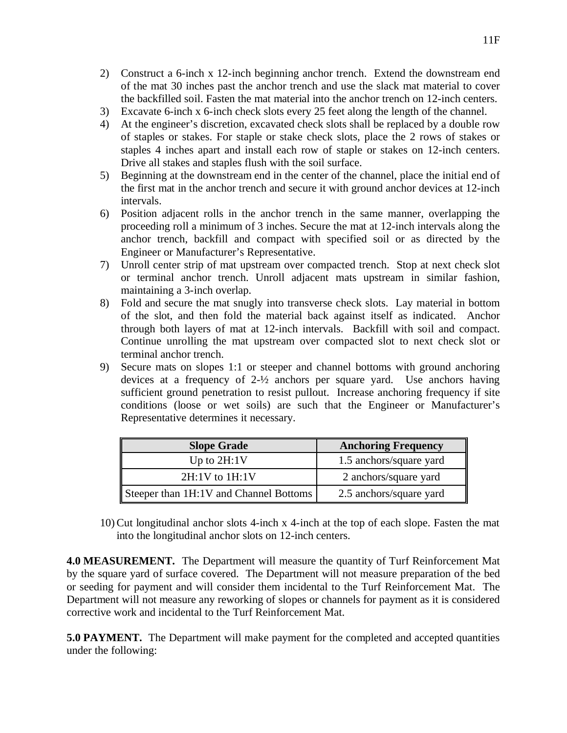- 2) Construct a 6-inch x 12-inch beginning anchor trench. Extend the downstream end of the mat 30 inches past the anchor trench and use the slack mat material to cover the backfilled soil. Fasten the mat material into the anchor trench on 12-inch centers.
- 3) Excavate 6-inch x 6-inch check slots every 25 feet along the length of the channel.
- 4) At the engineer's discretion, excavated check slots shall be replaced by a double row of staples or stakes. For staple or stake check slots, place the 2 rows of stakes or staples 4 inches apart and install each row of staple or stakes on 12-inch centers. Drive all stakes and staples flush with the soil surface.
- 5) Beginning at the downstream end in the center of the channel, place the initial end of the first mat in the anchor trench and secure it with ground anchor devices at 12-inch intervals.
- 6) Position adjacent rolls in the anchor trench in the same manner, overlapping the proceeding roll a minimum of 3 inches. Secure the mat at 12-inch intervals along the anchor trench, backfill and compact with specified soil or as directed by the Engineer or Manufacturer's Representative.
- 7) Unroll center strip of mat upstream over compacted trench. Stop at next check slot or terminal anchor trench. Unroll adjacent mats upstream in similar fashion, maintaining a 3-inch overlap.
- 8) Fold and secure the mat snugly into transverse check slots. Lay material in bottom of the slot, and then fold the material back against itself as indicated. Anchor through both layers of mat at 12-inch intervals. Backfill with soil and compact. Continue unrolling the mat upstream over compacted slot to next check slot or terminal anchor trench.
- 9) Secure mats on slopes 1:1 or steeper and channel bottoms with ground anchoring devices at a frequency of 2-½ anchors per square yard. Use anchors having sufficient ground penetration to resist pullout. Increase anchoring frequency if site conditions (loose or wet soils) are such that the Engineer or Manufacturer's Representative determines it necessary.

| <b>Slope Grade</b>                     | <b>Anchoring Frequency</b> |
|----------------------------------------|----------------------------|
| Up to $2H:1V$                          | 1.5 anchors/square yard    |
| $2H:1V$ to $1H:1V$                     | 2 anchors/square yard      |
| Steeper than 1H:1V and Channel Bottoms | 2.5 anchors/square yard    |

10) Cut longitudinal anchor slots 4-inch x 4-inch at the top of each slope. Fasten the mat into the longitudinal anchor slots on 12-inch centers.

**4.0 MEASUREMENT.** The Department will measure the quantity of Turf Reinforcement Mat by the square yard of surface covered. The Department will not measure preparation of the bed or seeding for payment and will consider them incidental to the Turf Reinforcement Mat. The Department will not measure any reworking of slopes or channels for payment as it is considered corrective work and incidental to the Turf Reinforcement Mat.

**5.0 PAYMENT.** The Department will make payment for the completed and accepted quantities under the following: